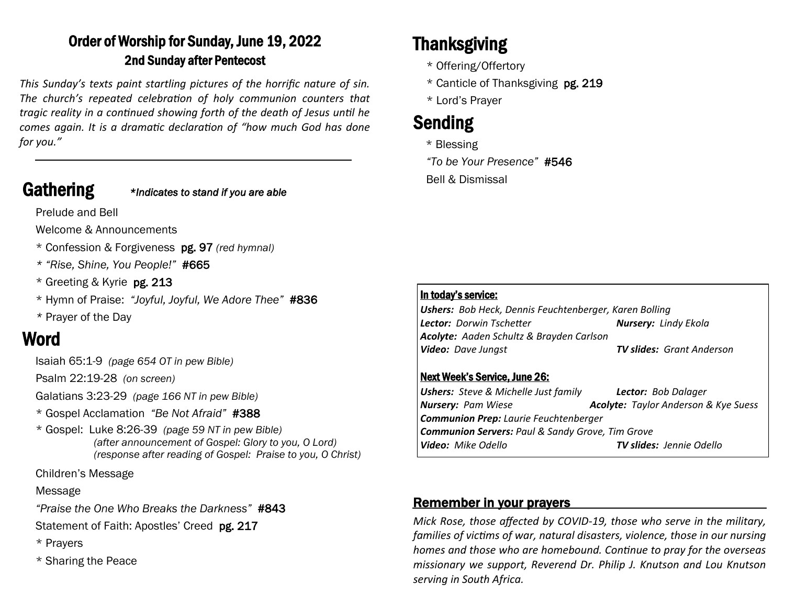## Order of Worship for Sunday, June 19, 2022 2nd Sunday after Pentecost

*This Sunday's texts paint startling pictures of the horrific nature of sin. The church's repeated celebration of holy communion counters that tragic reality in a continued showing forth of the death of Jesus until he comes again. It is a dramatic declaration of "how much God has done for you."*

Gathering *\*Indicates to stand if you are able*

Prelude and Bell

Welcome & Announcements

- \* Confession & Forgiveness pg. 97 *(red hymnal)*
- *\* "Rise, Shine, You People!"* #665
- \* Greeting & Kyrie pg. 213
- \* Hymn of Praise: *"Joyful, Joyful, We Adore Thee"* #836
- *\** Prayer of the Day

# Word

Isaiah 65:1-9 *(page 654 OT in pew Bible)* 

Psalm 22:19-28 *(on screen)*

Galatians 3:23-29 *(page 166 NT in pew Bible)*

- \* Gospel Acclamation *"Be Not Afraid"* #388
- \* Gospel: Luke 8:26-39 *(page 59 NT in pew Bible) (after announcement of Gospel: Glory to you, O Lord) (response after reading of Gospel: Praise to you, O Christ)*

Children's Message

Message

*"Praise the One Who Breaks the Darkness"* #843

- Statement of Faith: Apostles' Creed pg. 217
- \* Prayers
- \* Sharing the Peace

# Thanksgiving

- \* Offering/Offertory
- \* Canticle of Thanksgiving pg. 219
- \* Lord's Prayer

# Sending

\* Blessing

*"To be Your Presence"* #546

Bell & Dismissal

#### In today's service:

*Ushers: Bob Heck, Dennis Feuchtenberger, Karen Bolling Lector: Dorwin Tschetter Nursery: Lindy Ekola Acolyte: Aaden Schultz & Brayden Carlson Video: Dave Jungst TV slides: Grant Anderson*

#### Next Week's Service, June 26:

| <b>Ushers:</b> Steve & Michelle Just family                 | <b>Lector:</b> Bob Dalager                  |  |
|-------------------------------------------------------------|---------------------------------------------|--|
| <b>Nursery: Pam Wiese</b>                                   | <b>Acolyte:</b> Taylor Anderson & Kye Suess |  |
| <b>Communion Prep:</b> Laurie Feuchtenberger                |                                             |  |
| <b>Communion Servers: Paul &amp; Sandy Grove, Tim Grove</b> |                                             |  |
| <b>Video:</b> Mike Odello                                   | <b>TV slides:</b> Jennie Odello             |  |

### Remember in your prayers

*Mick Rose, those affected by COVID-19, those who serve in the military, families of victims of war, natural disasters, violence, those in our nursing homes and those who are homebound. Continue to pray for the overseas missionary we support, Reverend Dr. Philip J. Knutson and Lou Knutson serving in South Africa.*